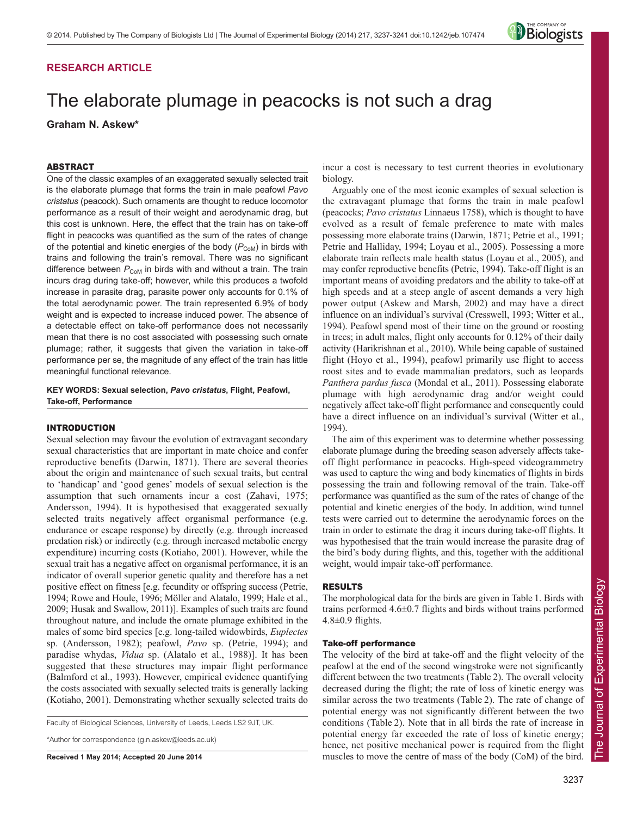## **RESEARCH ARTICLE**

# The elaborate plumage in peacocks is not such a drag

**Graham N. Askew\***

## ABSTRACT

One of the classic examples of an exaggerated sexually selected trait is the elaborate plumage that forms the train in male peafowl *Pavo cristatus* (peacock). Such ornaments are thought to reduce locomotor performance as a result of their weight and aerodynamic drag, but this cost is unknown. Here, the effect that the train has on take-off flight in peacocks was quantified as the sum of the rates of change of the potential and kinetic energies of the body  $(P_{\text{CoM}})$  in birds with trains and following the train's removal. There was no significant difference between  $P_{CoM}$  in birds with and without a train. The train incurs drag during take-off; however, while this produces a twofold increase in parasite drag, parasite power only accounts for 0.1% of the total aerodynamic power. The train represented 6.9% of body weight and is expected to increase induced power. The absence of a detectable effect on take-off performance does not necessarily mean that there is no cost associated with possessing such ornate plumage; rather, it suggests that given the variation in take-off performance per se, the magnitude of any effect of the train has little meaningful functional relevance.

**KEY WORDS: Sexual selection,** *Pavo cristatus***, Flight, Peafowl, Take-off, Performance**

## INTRODUCTION

Sexual selection may favour the evolution of extravagant secondary sexual characteristics that are important in mate choice and confer reproductive benefits (Darwin, 1871). There are several theories about the origin and maintenance of such sexual traits, but central to 'handicap' and 'good genes' models of sexual selection is the assumption that such ornaments incur a cost (Zahavi, 1975; Andersson, 1994). It is hypothesised that exaggerated sexually selected traits negatively affect organismal performance (e.g. endurance or escape response) by directly (e.g. through increased predation risk) or indirectly (e.g. through increased metabolic energy expenditure) incurring costs (Kotiaho, 2001). However, while the sexual trait has a negative affect on organismal performance, it is an indicator of overall superior genetic quality and therefore has a net positive effect on fitness [e.g. fecundity or offspring success (Petrie, 1994; Rowe and Houle, 1996; Möller and Alatalo, 1999; Hale et al., 2009; Husak and Swallow, 2011)]. Examples of such traits are found throughout nature, and include the ornate plumage exhibited in the males of some bird species [e.g. long-tailed widowbirds, *Euplectes* sp. (Andersson, 1982); peafowl, *Pavo* sp. (Petrie, 1994); and paradise whydas, *Vidua* sp. (Alatalo et al., 1988)]. It has been suggested that these structures may impair flight performance (Balmford et al., 1993). However, empirical evidence quantifying the costs associated with sexually selected traits is generally lacking (Kotiaho, 2001). Demonstrating whether sexually selected traits do

Faculty of Biological Sciences, University of Leeds, Leeds LS2 9JT, UK.

\*Author for correspondence (g.n.askew@leeds.ac.uk)

**Received 1 May 2014; Accepted 20 June 2014**

incur a cost is necessary to test current theories in evolutionary biology.

Arguably one of the most iconic examples of sexual selection is the extravagant plumage that forms the train in male peafowl (peacocks; *Pavo cristatus* Linnaeus 1758), which is thought to have evolved as a result of female preference to mate with males possessing more elaborate trains (Darwin, 1871; Petrie et al., 1991; Petrie and Halliday, 1994; Loyau et al., 2005). Possessing a more elaborate train reflects male health status (Loyau et al., 2005), and may confer reproductive benefits (Petrie, 1994). Take-off flight is an important means of avoiding predators and the ability to take-off at high speeds and at a steep angle of ascent demands a very high power output (Askew and Marsh, 2002) and may have a direct influence on an individual's survival (Cresswell, 1993; Witter et al., 1994). Peafowl spend most of their time on the ground or roosting in trees; in adult males, flight only accounts for 0.12% of their daily activity (Harikrishnan et al., 2010). While being capable of sustained flight (Hoyo et al., 1994), peafowl primarily use flight to access roost sites and to evade mammalian predators, such as leopards *Panthera pardus fusca* (Mondal et al., 2011). Possessing elaborate plumage with high aerodynamic drag and/or weight could negatively affect take-off flight performance and consequently could have a direct influence on an individual's survival (Witter et al., 1994).

The aim of this experiment was to determine whether possessing elaborate plumage during the breeding season adversely affects takeoff flight performance in peacocks. High-speed videogrammetry was used to capture the wing and body kinematics of flights in birds possessing the train and following removal of the train. Take-off performance was quantified as the sum of the rates of change of the potential and kinetic energies of the body. In addition, wind tunnel tests were carried out to determine the aerodynamic forces on the train in order to estimate the drag it incurs during take-off flights. It was hypothesised that the train would increase the parasite drag of the bird's body during flights, and this, together with the additional weight, would impair take-off performance.

## RESULTS

The morphological data for the birds are given in Table 1. Birds with trains performed 4.6±0.7 flights and birds without trains performed  $4.8\pm0.9$  flights.

## Take-off performance

The velocity of the bird at take-off and the flight velocity of the peafowl at the end of the second wingstroke were not significantly different between the two treatments (Table 2). The overall velocity decreased during the flight; the rate of loss of kinetic energy was similar across the two treatments (Table 2). The rate of change of potential energy was not significantly different between the two conditions (Table 2). Note that in all birds the rate of increase in potential energy far exceeded the rate of loss of kinetic energy; hence, net positive mechanical power is required from the flight muscles to move the centre of mass of the body (CoM) of the bird.

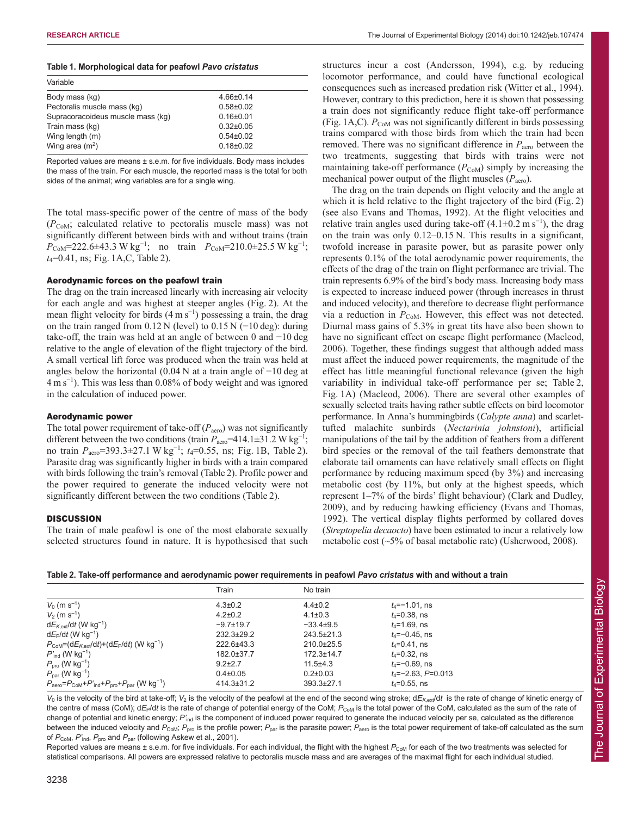### **Table 1. Morphological data for peafowl** *Pavo cristatus*

| Variable                          |                 |
|-----------------------------------|-----------------|
| Body mass (kg)                    | $4.66 \pm 0.14$ |
| Pectoralis muscle mass (kg)       | $0.58 + 0.02$   |
| Supracoracoideus muscle mass (kg) | $0.16 + 0.01$   |
| Train mass (kg)                   | $0.32 \pm 0.05$ |
| Wing length (m)                   | $0.54 \pm 0.02$ |
| Wing area $(m2)$                  | $0.18 \pm 0.02$ |

Reported values are means ± s.e.m. for five individuals. Body mass includes the mass of the train. For each muscle, the reported mass is the total for both sides of the animal; wing variables are for a single wing.

The total mass-specific power of the centre of mass of the body ( $P_{\text{CoM}}$ ; calculated relative to pectoralis muscle mass) was not significantly different between birds with and without trains (train  $P_{\text{CoM}}$ =222.6±43.3 W kg<sup>-1</sup>; no train  $P_{\text{CoM}}$ =210.0±25.5 W kg<sup>-1</sup>; *t*4=0.41, ns; Fig. 1A,C, Table 2).

## Aerodynamic forces on the peafowl train

The drag on the train increased linearly with increasing air velocity for each angle and was highest at steeper angles (Fig. 2). At the mean flight velocity for birds  $(4 \text{ m s}^{-1})$  possessing a train, the drag on the train ranged from 0.12 N (level) to 0.15 N (−10 deg): during take-off, the train was held at an angle of between 0 and −10 deg relative to the angle of elevation of the flight trajectory of the bird. A small vertical lift force was produced when the train was held at angles below the horizontal (0.04 N at a train angle of −10 deg at 4 m s<sup>−</sup><sup>1</sup> ). This was less than 0.08% of body weight and was ignored in the calculation of induced power.

## Aerodynamic power

The total power requirement of take-off  $(P_{\text{aero}})$  was not significantly different between the two conditions (train  $P_{\text{aero}}$ =414.1±31.2 W kg<sup>-1</sup>; no train *P*aero=393.3±27.1 W kg<sup>−</sup><sup>1</sup> ; *t*4=0.55, ns; Fig. 1B, Table 2). Parasite drag was significantly higher in birds with a train compared with birds following the train's removal (Table 2). Profile power and the power required to generate the induced velocity were not significantly different between the two conditions (Table 2).

## **DISCUSSION**

The train of male peafowl is one of the most elaborate sexually selected structures found in nature. It is hypothesised that such structures incur a cost (Andersson, 1994), e.g. by reducing locomotor performance, and could have functional ecological consequences such as increased predation risk (Witter et al., 1994). However, contrary to this prediction, here it is shown that possessing a train does not significantly reduce flight take-off performance (Fig. 1A,C).  $P_{\text{CoM}}$  was not significantly different in birds possessing trains compared with those birds from which the train had been removed. There was no significant difference in *P*aero between the two treatments, suggesting that birds with trains were not maintaining take-off performance  $(P_{\text{CoM}})$  simply by increasing the mechanical power output of the flight muscles ( $P<sub>aero</sub>$ ).

The drag on the train depends on flight velocity and the angle at which it is held relative to the flight trajectory of the bird (Fig. 2) (see also Evans and Thomas, 1992). At the flight velocities and relative train angles used during take-off  $(4.1 \pm 0.2 \text{ m s}^{-1})$ , the drag on the train was only 0.12–0.15 N. This results in a significant, twofold increase in parasite power, but as parasite power only represents 0.1% of the total aerodynamic power requirements, the effects of the drag of the train on flight performance are trivial. The train represents 6.9% of the bird's body mass. Increasing body mass is expected to increase induced power (through increases in thrust and induced velocity), and therefore to decrease flight performance via a reduction in  $P_{\text{CoM}}$ . However, this effect was not detected. Diurnal mass gains of 5.3% in great tits have also been shown to have no significant effect on escape flight performance (Macleod, 2006). Together, these findings suggest that although added mass must affect the induced power requirements, the magnitude of the effect has little meaningful functional relevance (given the high variability in individual take-off performance per se; Table 2, Fig. 1A) (Macleod, 2006). There are several other examples of sexually selected traits having rather subtle effects on bird locomotor performance. In Anna's hummingbirds (*Calypte anna*) and scarlettufted malachite sunbirds (*Nectarinia johnstoni*), artificial manipulations of the tail by the addition of feathers from a different bird species or the removal of the tail feathers demonstrate that elaborate tail ornaments can have relatively small effects on flight performance by reducing maximum speed (by 3%) and increasing metabolic cost (by 11%, but only at the highest speeds, which represent 1–7% of the birds' flight behaviour) (Clark and Dudley, 2009), and by reducing hawking efficiency (Evans and Thomas, 1992). The vertical display flights performed by collared doves (*Streptopelia decaocto*) have been estimated to incur a relatively low metabolic cost (~5% of basal metabolic rate) (Usherwood, 2008).

|  |  |  | Table 2. Take-off performance and aerodynamic power requirements in peafowl Pavo cristatus with and without a train |
|--|--|--|---------------------------------------------------------------------------------------------------------------------|
|--|--|--|---------------------------------------------------------------------------------------------------------------------|

|                                                                                                             | Train            | No train         |                         |  |
|-------------------------------------------------------------------------------------------------------------|------------------|------------------|-------------------------|--|
| $V_0$ (m s <sup>-1</sup> )                                                                                  | $4.3 \pm 0.2$    | $4.4 \pm 0.2$    | $t_4 = -1.01$ , ns      |  |
| $V_2$ (m s <sup>-1</sup> )                                                                                  | $4.2 \pm 0.2$    | $4.1 \pm 0.3$    | $t_4 = 0.38$ , ns       |  |
| $dE_{K,ext}/dt$ (W kg <sup>-1</sup> )                                                                       | $-9.7 + 19.7$    | $-33.4 \pm 9.5$  | $t_4$ =1.69, ns         |  |
| $dE_P/dt$ (W kg <sup>-1</sup> )                                                                             | $232.3 \pm 29.2$ | $243.5 \pm 21.3$ | $t_{4}$ =-0.45. ns      |  |
| $P_{\text{CoM}} = (dE_{K,ext}/dt) + (dE_{P}/dt)$ (W kg <sup>-1</sup> )                                      | 222.6±43.3       | $210.0 \pm 25.5$ | $t_4 = 0.41$ . ns       |  |
| $P'_{\text{ind}}$ (W kg <sup>-1</sup> )                                                                     | 182.0±37.7       | $172.3 \pm 14.7$ | $t_4 = 0.32$ , ns       |  |
| $P_{\text{pro}}$ (W kg <sup>-1</sup> )                                                                      | $9.2 \pm 2.7$    | $11.5 \pm 4.3$   | $t_{4}$ =-0.69. ns      |  |
| $P_{\text{par}}$ (W kg <sup>-1</sup> )                                                                      | $0.4 \pm 0.05$   | $0.2 \pm 0.03$   | $t_{4}$ =-2.63. P=0.013 |  |
| $P_{\text{aero}} = P_{\text{CoM}} + P_{\text{ind}} + P_{\text{pro}} + P_{\text{par}}$ (W kg <sup>-1</sup> ) | $414.3 \pm 31.2$ | $393.3 \pm 27.1$ | $t_4 = 0.55$ , ns       |  |

 $V_0$  is the velocity of the bird at take-off;  $V_2$  is the velocity of the peafowl at the end of the second wing stroke;  $dE_{K \text{ext}}/dt$  is the rate of change of kinetic energy of the centre of mass (CoM); dE<sub>P</sub>/dt is the rate of change of potential energy of the CoM;  $P_{\text{CoM}}$  is the total power of the CoM, calculated as the sum of the rate of change of potential and kinetic energy;  $P'_{\text{ind}}$  is the component of induced power required to generate the induced velocity per se, calculated as the difference between the induced velocity and  $P_{\text{CoM}}$ ;  $P_{\text{pro}}$  is the profile power;  $P_{\text{par}}$  is the parasite power;  $P_{\text{aero}}$  is the total power requirement of take-off calculated as the sum of  $P_{\text{CoM}}$ ,  $P_{\text{ind}}$ ,  $P_{\text{pro}}$  and  $P_{\text{par}}$  (following Askew et al., 2001).

Reported values are means ± s.e.m. for five individuals. For each individual, the flight with the highest  $P_{COM}$  for each of the two treatments was selected for statistical comparisons. All powers are expressed relative to pectoralis muscle mass and are averages of the maximal flight for each individual studied.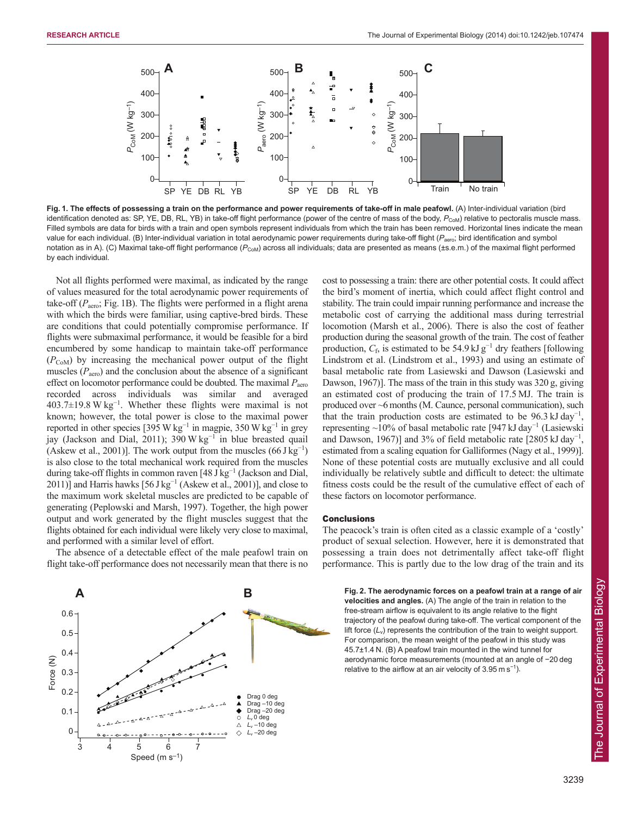

**Fig. 1. The effects of possessing a train on the performance and power requirements of take-off in male peafowl.** (A) Inter-individual variation (bird identification denoted as: SP, YE, DB, RL, YB) in take-off flight performance (power of the centre of mass of the body,  $P_{\text{CoM}}$ ) relative to pectoralis muscle mass. Filled symbols are data for birds with a train and open symbols represent individuals from which the train has been removed. Horizontal lines indicate the mean value for each individual. (B) Inter-individual variation in total aerodynamic power requirements during take-off flight (*P*aero; bird identification and symbol notation as in A). (C) Maximal take-off flight performance (P<sub>CoM</sub>) across all individuals; data are presented as means (±s.e.m.) of the maximal flight performed by each individual.

Not all flights performed were maximal, as indicated by the range of values measured for the total aerodynamic power requirements of take-off  $(P_{\text{aero}};$  Fig. 1B). The flights were performed in a flight arena with which the birds were familiar, using captive-bred birds. These are conditions that could potentially compromise performance. If flights were submaximal performance, it would be feasible for a bird encumbered by some handicap to maintain take-off performance  $(P_{\text{CoM}})$  by increasing the mechanical power output of the flight muscles  $(P_{\text{aero}})$  and the conclusion about the absence of a significant effect on locomotor performance could be doubted. The maximal *P*aero recorded across individuals was similar and averaged 403.7±19.8 W kg<sup>−</sup><sup>1</sup> . Whether these flights were maximal is not known; however, the total power is close to the maximal power reported in other species  $[395 \text{ W kg}^{-1}$  in magpie, 350 W kg<sup>-1</sup> in grey jay (Jackson and Dial, 2011); 390 W kg<sup>−</sup><sup>1</sup> in blue breasted quail (Askew et al., 2001)]. The work output from the muscles  $(66 \text{ J kg}^{-1})$ is also close to the total mechanical work required from the muscles during take-off flights in common raven [48 J kg<sup>−</sup><sup>1</sup> (Jackson and Dial, 2011)] and Harris hawks  $[56$  J kg<sup>-1</sup> (Askew et al., 2001)], and close to the maximum work skeletal muscles are predicted to be capable of generating (Peplowski and Marsh, 1997). Together, the high power output and work generated by the flight muscles suggest that the flights obtained for each individual were likely very close to maximal, and performed with a similar level of effort.

The absence of a detectable effect of the male peafowl train on flight take-off performance does not necessarily mean that there is no



cost to possessing a train: there are other potential costs. It could affect the bird's moment of inertia, which could affect flight control and stability. The train could impair running performance and increase the metabolic cost of carrying the additional mass during terrestrial locomotion (Marsh et al., 2006). There is also the cost of feather production during the seasonal growth of the train. The cost of feather production, *C*<sub>f</sub>, is estimated to be 54.9 kJ g<sup>-1</sup> dry feathers [following Lindstrom et al. (Lindstrom et al., 1993) and using an estimate of basal metabolic rate from Lasiewski and Dawson (Lasiewski and Dawson, 1967)]. The mass of the train in this study was 320 g, giving an estimated cost of producing the train of 17.5 MJ. The train is produced over  $\sim$ 6 months (M. Caunce, personal communication), such that the train production costs are estimated to be  $96.3 \text{ kJ day}^{-1}$ , representing ~10% of basal metabolic rate [947 kJ day<sup>−</sup><sup>1</sup> (Lasiewski and Dawson, 1967)] and 3% of field metabolic rate  $[2805 \text{ kJ day}^{-1}$ , estimated from a scaling equation for Galliformes (Nagy et al., 1999)]. None of these potential costs are mutually exclusive and all could individually be relatively subtle and difficult to detect: the ultimate fitness costs could be the result of the cumulative effect of each of these factors on locomotor performance.

## **Conclusions**

The peacock's train is often cited as a classic example of a 'costly' product of sexual selection. However, here it is demonstrated that possessing a train does not detrimentally affect take-off flight performance. This is partly due to the low drag of the train and its

**velocities and angles.** (A) The angle of the train in relation to the free-stream airflow is equivalent to its angle relative to the flight trajectory of the peafowl during take-off. The vertical component of the lift force ( $L_v$ ) represents the contribution of the train to weight support. For comparison, the mean weight of the peafowl in this study was 45.7±1.4 N. (B) A peafowl train mounted in the wind tunnel for aerodynamic force measurements (mounted at an angle of −20 deg relative to the airflow at an air velocity of 3.95 m s<sup>-1</sup>).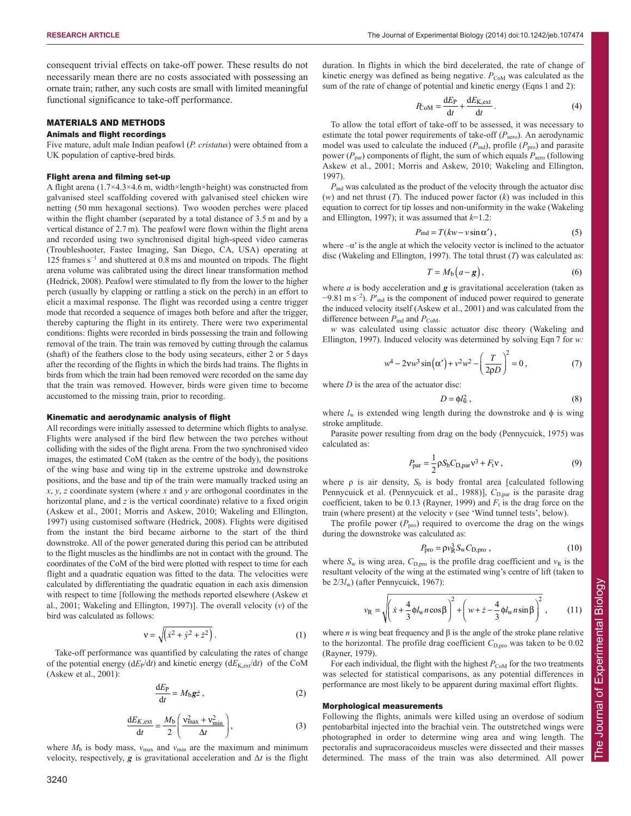consequent trivial effects on take-off power. These results do not necessarily mean there are no costs associated with possessing an ornate train; rather, any such costs are small with limited meaningful functional significance to take-off performance.

## MATERIALS AND METHODS

## Animals and flight recordings

Five mature, adult male Indian peafowl (*P. cristatus*) were obtained from a UK population of captive-bred birds.

## Flight arena and filming set-up

A flight arena (1.7×4.3×4.6 m, width×length×height) was constructed from galvanised steel scaffolding covered with galvanised steel chicken wire netting (50 mm hexagonal sections). Two wooden perches were placed within the flight chamber (separated by a total distance of 3.5 m and by a vertical distance of 2.7 m). The peafowl were flown within the flight arena and recorded using two synchronised digital high-speed video cameras (Troubleshooter, Fastec Imaging, San Diego, CA, USA) operating at 125 frames s<sup>−</sup><sup>1</sup> and shuttered at 0.8 ms and mounted on tripods. The flight arena volume was calibrated using the direct linear transformation method (Hedrick, 2008). Peafowl were stimulated to fly from the lower to the higher perch (usually by clapping or rattling a stick on the perch) in an effort to elicit a maximal response. The flight was recorded using a centre trigger mode that recorded a sequence of images both before and after the trigger, thereby capturing the flight in its entirety. There were two experimental conditions: flights were recorded in birds possessing the train and following removal of the train. The train was removed by cutting through the calamus (shaft) of the feathers close to the body using secateurs, either 2 or 5 days after the recording of the flights in which the birds had trains. The flights in birds from which the train had been removed were recorded on the same day that the train was removed. However, birds were given time to become accustomed to the missing train, prior to recording.

#### Kinematic and aerodynamic analysis of flight

All recordings were initially assessed to determine which flights to analyse. Flights were analysed if the bird flew between the two perches without colliding with the sides of the flight arena. From the two synchronised video images, the estimated CoM (taken as the centre of the body), the positions of the wing base and wing tip in the extreme upstroke and downstroke positions, and the base and tip of the train were manually tracked using an *x*, *y*, *z* coordinate system (where *x* and *y* are orthogonal coordinates in the horizontal plane, and *z* is the vertical coordinate) relative to a fixed origin (Askew et al., 2001; Morris and Askew, 2010; Wakeling and Ellington, 1997) using customised software (Hedrick, 2008). Flights were digitised from the instant the bird became airborne to the start of the third downstroke. All of the power generated during this period can be attributed to the flight muscles as the hindlimbs are not in contact with the ground. The coordinates of the CoM of the bird were plotted with respect to time for each flight and a quadratic equation was fitted to the data. The velocities were calculated by differentiating the quadratic equation in each axis dimension with respect to time [following the methods reported elsewhere (Askew et al., 2001; Wakeling and Ellington, 1997)]. The overall velocity (*v*) of the bird was calculated as follows:

$$
\mathbf{v} = \sqrt{\left(\dot{x}^2 + \dot{y}^2 + \dot{z}^2\right)}\,. \tag{1}
$$

Take-off performance was quantified by calculating the rates of change of the potential energy  $(dE_P/dt)$  and kinetic energy  $(dE_{K,ext}/dt)$  of the CoM (Askew et al., 2001):

$$
\frac{\mathrm{d}E_{\rm P}}{\mathrm{d}t} = M_{\rm b}g\dot{z}\,,\tag{2}
$$

$$
\frac{dE_{K,ext}}{dt} = \frac{M_b}{2} \left( \frac{v_{max}^2 + v_{min}^2}{\Delta t} \right),\tag{3}
$$

where  $M_b$  is body mass,  $v_{\text{max}}$  and  $v_{\text{min}}$  are the maximum and minimum velocity, respectively,  $g$  is gravitational acceleration and  $\Delta t$  is the flight duration. In flights in which the bird decelerated, the rate of change of kinetic energy was defined as being negative.  $P_{\text{CoM}}$  was calculated as the sum of the rate of change of potential and kinetic energy (Eqns 1 and 2):

$$
P_{\text{CoM}} = \frac{dE_{\text{P}}}{dt} + \frac{dE_{\text{K,ext}}}{dt} \,. \tag{4}
$$

To allow the total effort of take-off to be assessed, it was necessary to estimate the total power requirements of take-off  $(P_{\text{aero}})$ . An aerodynamic model was used to calculate the induced  $(P_{ind})$ , profile  $(P_{pro})$  and parasite power ( $P_{\text{par}}$ ) components of flight, the sum of which equals  $P_{\text{aero}}$  (following Askew et al., 2001; Morris and Askew, 2010; Wakeling and Ellington, 1997).

 $P_{\text{ind}}$  was calculated as the product of the velocity through the actuator disc (*w*) and net thrust (*T*). The induced power factor (*k*) was included in this equation to correct for tip losses and non-uniformity in the wake (Wakeling and Ellington, 1997); it was assumed that *k*=1.2:

$$
P_{\text{ind}} = T(kw - v\sin\alpha'),\tag{5}
$$

where  $-\alpha'$  is the angle at which the velocity vector is inclined to the actuator disc (Wakeling and Ellington, 1997). The total thrust (*T*) was calculated as:

$$
T = M_{\rm b}\big(a - \mathbf{g}\big),\tag{6}
$$

where *a* is body acceleration and **g** is gravitational acceleration (taken as −9.81 m s<sup>-2</sup>). P'<sub>ind</sub> is the component of induced power required to generate the induced velocity itself (Askew et al., 2001) and was calculated from the difference between  $P_{\text{ind}}$  and  $P_{\text{CoM}}$ .

*w* was calculated using classic actuator disc theory (Wakeling and Ellington, 1997). Induced velocity was determined by solving Eqn 7 for *w:*

$$
w^{4} - 2vw^{3}\sin(\alpha') + v^{2}w^{2} - \left(\frac{T}{2\rho D}\right)^{2} = 0,
$$
 (7)

where *D* is the area of the actuator disc:

$$
D = \phi l_{\rm w}^2 \,,\tag{8}
$$

where  $l_w$  is extended wing length during the downstroke and  $\phi$  is wing stroke amplitude.

Parasite power resulting from drag on the body (Pennycuick, 1975) was calculated as:

$$
P_{\text{par}} = \frac{1}{2} \rho S_b C_{\text{D,par}} v^3 + F_t v \,, \tag{9}
$$

where  $\rho$  is air density,  $S_b$  is body frontal area [calculated following Pennycuick et al. (Pennycuick et al., 1988)], C<sub>D,par</sub> is the parasite drag coefficient, taken to be 0.13 (Rayner, 1999) and  $F_t$  is the drag force on the train (where present) at the velocity *v* (see 'Wind tunnel tests', below).

The profile power  $(P_{\text{pro}})$  required to overcome the drag on the wings during the downstroke was calculated as:

$$
P_{\rm pro} = \rho v_{\rm R}^3 S_{\rm w} C_{\rm D,pro} , \qquad (10)
$$

where  $S_w$  is wing area,  $C_{D,pro}$  is the profile drag coefficient and  $v_R$  is the resultant velocity of the wing at the estimated wing's centre of lift (taken to be 2/3*l*w) (after Pennycuick, 1967):

$$
v_{\rm R} = \sqrt{\left(\dot{x} + \frac{4}{3}\phi l_{\rm w} n \cos\beta\right)^2 + \left(w + \dot{z} - \frac{4}{3}\phi l_{\rm w} n \sin\beta\right)^2},\tag{11}
$$

where *n* is wing beat frequency and  $\beta$  is the angle of the stroke plane relative to the horizontal. The profile drag coefficient  $C_{\text{D,pro}}$  was taken to be 0.02 (Rayner, 1979).

For each individual, the flight with the highest  $P_{\text{CoM}}$  for the two treatments was selected for statistical comparisons, as any potential differences in performance are most likely to be apparent during maximal effort flights.

#### Morphological measurements

Following the flights, animals were killed using an overdose of sodium pentobarbital injected into the brachial vein. The outstretched wings were photographed in order to determine wing area and wing length. The pectoralis and supracoracoideus muscles were dissected and their masses determined. The mass of the train was also determined. All power